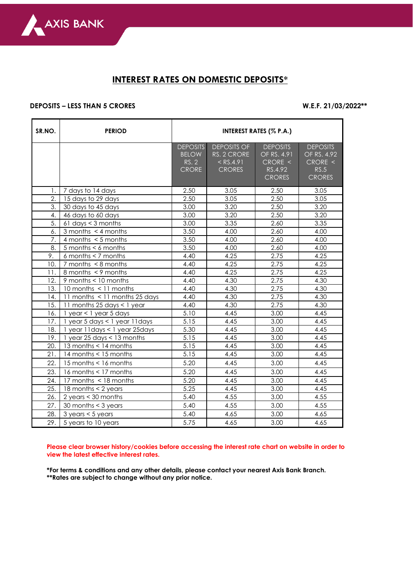

## **INTEREST RATES ON DOMESTIC DEPOSITS\***

## **DEPOSITS – LESS THAN 5 CRORES W.E.F. 21/03/2022\*\***

 $\overline{\phantom{a}}$ 

| SR.NO. | <b>PERIOD</b>                       | <b>INTEREST RATES (% P.A.)</b>                           |                                                                   |                                                                         |                                                                    |  |  |
|--------|-------------------------------------|----------------------------------------------------------|-------------------------------------------------------------------|-------------------------------------------------------------------------|--------------------------------------------------------------------|--|--|
|        |                                     | <b>DEPOSITS</b><br><b>BELOW</b><br>RS. 2<br><b>CRORE</b> | <b>DEPOSITS OF</b><br>RS. 2 CRORE<br>$<$ RS.4.91<br><b>CRORES</b> | <b>DEPOSITS</b><br>OF RS. $4.91$<br>CRORE <<br>RS.4.92<br><b>CRORES</b> | <b>DEPOSITS</b><br>OF RS. 4.92<br>CRORE <<br>RS.5<br><b>CRORES</b> |  |  |
| 1.     | 7 days to 14 days                   | 2.50                                                     | 3.05                                                              | 2.50                                                                    | 3.05                                                               |  |  |
| 2.     | 15 days to 29 days                  | 2.50                                                     | 3.05                                                              | 2.50                                                                    | 3.05                                                               |  |  |
| 3.     | 30 days to 45 days                  | 3.00                                                     | 3.20                                                              | 2.50                                                                    | 3.20                                                               |  |  |
| 4.     | 46 days to 60 days                  | 3.00                                                     | 3.20                                                              | 2.50                                                                    | 3.20                                                               |  |  |
| 5.     | $61$ days $<$ 3 months              | 3.00                                                     | 3.35                                                              | 2.60                                                                    | 3.35                                                               |  |  |
| 6.     | 3 months $\lt$ 4 months             | 3.50                                                     | 4.00                                                              | 2.60                                                                    | 4.00                                                               |  |  |
| 7.     | 4 months $<$ 5 months               | 3.50                                                     | 4.00                                                              | 2.60                                                                    | 4.00                                                               |  |  |
| 8.     | $5$ months $< 6$ months             | 3.50                                                     | 4.00                                                              | 2.60                                                                    | 4.00                                                               |  |  |
| 9.     | 6 months $<$ 7 months               | 4.40                                                     | 4.25                                                              | 2.75                                                                    | 4.25                                                               |  |  |
| 10.    | $7$ months $\leq 8$ months          | 4.40                                                     | 4.25                                                              | 2.75                                                                    | 4.25                                                               |  |  |
| 11.    | 8 months < 9 months                 | 4.40                                                     | 4.25                                                              | 2.75                                                                    | 4.25                                                               |  |  |
| 12.    | 9 months < 10 months                | 4.40                                                     | 4.30                                                              | 2.75                                                                    | 4.30                                                               |  |  |
| 13.    | 10 months < 11 months               | 4.40                                                     | 4.30                                                              | 2.75                                                                    | 4.30                                                               |  |  |
| 14.    | 11 months < 11 months 25 days       | 4.40                                                     | 4.30                                                              | 2.75                                                                    | 4.30                                                               |  |  |
| 15.    | 11 months 25 days < 1 year          | 4.40                                                     | 4.30                                                              | 2.75                                                                    | 4.30                                                               |  |  |
| 16.    | $1$ year < $1$ year 5 days          | 5.10                                                     | 4.45                                                              | 3.00                                                                    | 4.45                                                               |  |  |
| 17.    | 1 year 5 days < 1 year 11 days      | 5.15                                                     | 4.45                                                              | 3.00                                                                    | 4.45                                                               |  |  |
| 18.    | 1 year 11 days < 1 year 25 days     | 5.30                                                     | 4.45                                                              | 3.00                                                                    | 4.45                                                               |  |  |
| 19.    | 1 year 25 days $<$ 13 months        | 5.15                                                     | 4.45                                                              | 3.00                                                                    | 4.45                                                               |  |  |
| 20.    | 13 months < 14 months               | 5.15                                                     | 4.45                                                              | 3.00                                                                    | 4.45                                                               |  |  |
| 21.    | 14 months < 15 months               | 5.15                                                     | 4.45                                                              | 3.00                                                                    | 4.45                                                               |  |  |
| 22.    | 15 months < 16 months               | 5.20                                                     | 4.45                                                              | 3.00                                                                    | 4.45                                                               |  |  |
| 23.    | 16 months $<$ 17 months             | 5.20                                                     | 4.45                                                              | 3.00                                                                    | 4.45                                                               |  |  |
| 24.    | 17 months < 18 months               | 5.20                                                     | 4.45                                                              | 3.00                                                                    | 4.45                                                               |  |  |
| 25.    | 18 months < 2 years                 | 5.25                                                     | 4.45                                                              | 3.00                                                                    | 4.45                                                               |  |  |
| 26.    | 2 years $<$ 30 months               | 5.40                                                     | 4.55                                                              | 3.00                                                                    | 4.55                                                               |  |  |
| 27.    | 30 months < 3 years                 | 5.40                                                     | 4.55                                                              | 3.00                                                                    | 4.55                                                               |  |  |
| 28.    | $3 \text{ years} < 5 \text{ years}$ | 5.40                                                     | 4.65                                                              | 3.00                                                                    | 4.65                                                               |  |  |
| 29.    | 5 years to 10 years                 | 5.75                                                     | 4.65                                                              | 3.00                                                                    | 4.65                                                               |  |  |

**Please clear browser history/cookies before accessing the interest rate chart on website in order to view the latest effective interest rates.**

**\*For terms & conditions and any other details, please contact your nearest Axis Bank Branch. \*\*Rates are subject to change without any prior notice.**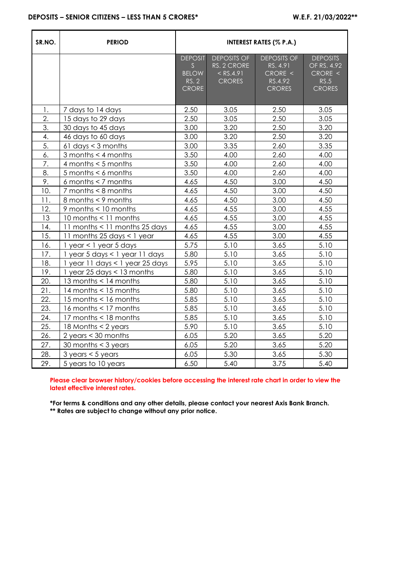| SR.NO. | <b>PERIOD</b>                   | <b>INTEREST RATES (% P.A.)</b>                        |                                                                   |                                                                       |                                                                    |  |
|--------|---------------------------------|-------------------------------------------------------|-------------------------------------------------------------------|-----------------------------------------------------------------------|--------------------------------------------------------------------|--|
|        |                                 | <b>DEPOSIT</b><br>S<br><b>BELOW</b><br>RS. 2<br>CRORE | <b>DEPOSITS OF</b><br>RS. 2 CRORE<br>$<$ RS.4.91<br><b>CRORES</b> | <b>DEPOSITS OF</b><br>RS. 4.91<br>CRORE <<br>RS.4.92<br><b>CRORES</b> | <b>DEPOSITS</b><br>OF RS. 4.92<br>CRORE <<br>RS.5<br><b>CRORES</b> |  |
| 1.     | 7 days to 14 days               | 2.50                                                  | 3.05                                                              | 2.50                                                                  | 3.05                                                               |  |
| 2.     | 15 days to 29 days              | 2.50                                                  | 3.05                                                              | 2.50                                                                  | 3.05                                                               |  |
| 3.     | 30 days to 45 days              | 3.00                                                  | 3.20                                                              | 2.50                                                                  | 3.20                                                               |  |
| 4.     | 46 days to 60 days              | 3.00                                                  | 3.20                                                              | 2.50                                                                  | 3.20                                                               |  |
| 5.     | $61$ days $<$ 3 months          | 3.00                                                  | 3.35                                                              | 2.60                                                                  | 3.35                                                               |  |
| 6.     | 3 months < 4 months             | 3.50                                                  | 4.00                                                              | 2.60                                                                  | 4.00                                                               |  |
| 7.     | 4 months $<$ 5 months           | 3.50                                                  | 4.00                                                              | 2.60                                                                  | 4.00                                                               |  |
| 8.     | $5$ months $< 6$ months         | 3.50                                                  | 4.00                                                              | 2.60                                                                  | 4.00                                                               |  |
| 9.     | $6$ months $<$ 7 months         | 4.65                                                  | 4.50                                                              | 3.00                                                                  | 4.50                                                               |  |
| 10.    | 7 months < 8 months             | 4.65                                                  | 4.50                                                              | 3.00                                                                  | 4.50                                                               |  |
| 11.    | 8 months < 9 months             | 4.65                                                  | 4.50                                                              | 3.00                                                                  | 4.50                                                               |  |
| 12.    | 9 months < 10 months            | 4.65                                                  | 4.55                                                              | 3.00                                                                  | 4.55                                                               |  |
| 13     | 10 months < 11 months           | 4.65                                                  | 4.55                                                              | 3.00                                                                  | 4.55                                                               |  |
| 14.    | 11 months < 11 months 25 days   | 4.65                                                  | 4.55                                                              | 3.00                                                                  | 4.55                                                               |  |
| 15.    | 11 months 25 days < 1 year      | 4.65                                                  | 4.55                                                              | 3.00                                                                  | 4.55                                                               |  |
| 16.    | 1 year < 1 year 5 days          | 5.75                                                  | 5.10                                                              | 3.65                                                                  | 5.10                                                               |  |
| 17.    | 1 year 5 days < 1 year 11 days  | 5.80                                                  | 5.10                                                              | 3.65                                                                  | 5.10                                                               |  |
| 18.    | 1 year 11 days < 1 year 25 days | 5.95                                                  | 5.10                                                              | 3.65                                                                  | 5.10                                                               |  |
| 19.    | 1 year 25 days < 13 months      | 5.80                                                  | 5.10                                                              | 3.65                                                                  | 5.10                                                               |  |
| 20.    | 13 months < 14 months           | 5.80                                                  | 5.10                                                              | 3.65                                                                  | 5.10                                                               |  |
| 21.    | 14 months < 15 months           | 5.80                                                  | 5.10                                                              | 3.65                                                                  | 5.10                                                               |  |
| 22.    | 15 months < 16 months           | 5.85                                                  | 5.10                                                              | 3.65                                                                  | 5.10                                                               |  |
| 23.    | 16 months < 17 months           | 5.85                                                  | 5.10                                                              | 3.65                                                                  | 5.10                                                               |  |
| 24.    | 17 months < 18 months           | 5.85                                                  | 5.10                                                              | 3.65                                                                  | 5.10                                                               |  |
| 25.    | 18 Months $<$ 2 years           | 5.90                                                  | 5.10                                                              | 3.65                                                                  | 5.10                                                               |  |
| 26.    | 2 years $<$ 30 months           | 6.05                                                  | 5.20                                                              | 3.65                                                                  | 5.20                                                               |  |
| 27.    | 30 months $<$ 3 years           | 6.05                                                  | 5.20                                                              | 3.65                                                                  | 5.20                                                               |  |
| 28.    | $3$ years $<$ 5 years           | 6.05                                                  | 5.30                                                              | 3.65                                                                  | 5.30                                                               |  |
| 29.    | 5 years to 10 years             | 6.50                                                  | 5.40                                                              | 3.75                                                                  | 5.40                                                               |  |

**Please clear browser history/cookies before accessing the interest rate chart in order to view the latest effective interest rates.**

**\*For terms & conditions and any other details, please contact your nearest Axis Bank Branch. \*\* Rates are subject to change without any prior notice.**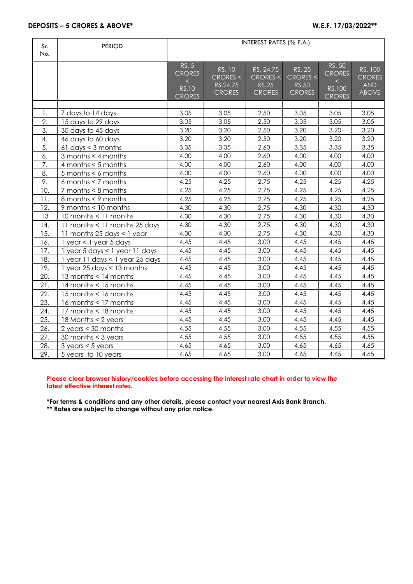| Sr.<br>No. | <b>PERIOD</b>                       | INTEREST RATES (% P.A.)                         |                                                 |                                                        |                                                            |                                            |                                                        |
|------------|-------------------------------------|-------------------------------------------------|-------------------------------------------------|--------------------------------------------------------|------------------------------------------------------------|--------------------------------------------|--------------------------------------------------------|
|            |                                     | RS. 5<br><b>CRORES</b><br>$\lt$<br><b>RS.10</b> | RS. 10<br>CRORES <<br>RS.24.75<br><b>CRORES</b> | RS. 24.75<br>CRORES <<br><b>RS.25</b><br><b>CRORES</b> | <b>RS. 25</b><br>CRORES <<br><b>RS.50</b><br><b>CRORES</b> | RS. 50<br><b>CRORES</b><br>$\lt$<br>RS.100 | RS. 100<br><b>CRORES</b><br><b>AND</b><br><b>ABOVE</b> |
|            |                                     | <b>CRORES</b>                                   |                                                 |                                                        |                                                            | <b>CRORES</b>                              |                                                        |
| 1.         | 7 days to 14 days                   | 3.05                                            | 3.05                                            | 2.50                                                   | 3.05                                                       | 3.05                                       | 3.05                                                   |
| 2.         | 15 days to 29 days                  | 3.05                                            | 3.05                                            | 2.50                                                   | 3.05                                                       | 3.05                                       | 3.05                                                   |
| 3.         | 30 days to 45 days                  | 3.20                                            | 3.20                                            | 2.50                                                   | 3.20                                                       | 3.20                                       | 3.20                                                   |
| 4.         | 46 days to 60 days                  | 3.20                                            | 3.20                                            | 2.50                                                   | 3.20                                                       | 3.20                                       | 3.20                                                   |
| 5.         | 61 days $<$ 3 months                | 3.35                                            | 3.35                                            | 2.60                                                   | 3.35                                                       | 3.35                                       | 3.35                                                   |
| 6.         | 3 months $<$ 4 months               | 4.00                                            | 4.00                                            | 2.60                                                   | 4.00                                                       | 4.00                                       | 4.00                                                   |
| 7.         | 4 months $<$ 5 months               | 4.00                                            | 4.00                                            | 2.60                                                   | 4.00                                                       | 4.00                                       | 4.00                                                   |
| 8.         | $5$ months $< 6$ months             | 4.00                                            | 4.00                                            | 2.60                                                   | 4.00                                                       | 4.00                                       | 4.00                                                   |
| 9.         | 6 months $<$ 7 months               | 4.25                                            | 4.25                                            | 2.75                                                   | 4.25                                                       | 4.25                                       | 4.25                                                   |
| 10.        | $7$ months $< 8$ months             | 4.25                                            | 4.25                                            | 2.75                                                   | 4.25                                                       | 4.25                                       | 4.25                                                   |
| 11.        | 8 months < 9 months                 | 4.25                                            | 4.25                                            | 2.75                                                   | 4.25                                                       | 4.25                                       | 4.25                                                   |
| 12.        | 9 months < 10 months                | 4.30                                            | 4.30                                            | 2.75                                                   | 4.30                                                       | 4.30                                       | 4.30                                                   |
| 13         | 10 months < 11 months               | 4.30                                            | 4.30                                            | 2.75                                                   | 4.30                                                       | 4.30                                       | 4.30                                                   |
| 14.        | 11 months < 11 months 25 days       | 4.30                                            | 4.30                                            | 2.75                                                   | 4.30                                                       | 4.30                                       | 4.30                                                   |
| 15.        | 11 months 25 days < 1 year          | 4.30                                            | 4.30                                            | 2.75                                                   | 4.30                                                       | 4.30                                       | 4.30                                                   |
| 16.        | 1 year < 1 year 5 days              | 4.45                                            | 4.45                                            | 3.00                                                   | 4.45                                                       | 4.45                                       | 4.45                                                   |
| 17.        | 1 year 5 days < 1 year 11 days      | 4.45                                            | 4.45                                            | 3.00                                                   | 4.45                                                       | 4.45                                       | 4.45                                                   |
| 18.        | 1 year 11 days < 1 year 25 days     | 4.45                                            | 4.45                                            | 3.00                                                   | 4.45                                                       | 4.45                                       | 4.45                                                   |
| 19.        | 1 year 25 days < 13 months          | 4.45                                            | 4.45                                            | 3.00                                                   | 4.45                                                       | 4.45                                       | 4.45                                                   |
| 20.        | 13 months < 14 months               | 4.45                                            | 4.45                                            | 3.00                                                   | 4.45                                                       | 4.45                                       | 4.45                                                   |
| 21.        | 14 months < 15 months               | 4.45                                            | 4.45                                            | 3.00                                                   | 4.45                                                       | 4.45                                       | 4.45                                                   |
| 22.        | 15 months < 16 months               | 4.45                                            | 4.45                                            | 3.00                                                   | 4.45                                                       | 4.45                                       | 4.45                                                   |
| 23.        | 16 months < 17 months               | 4.45                                            | 4.45                                            | 3.00                                                   | 4.45                                                       | 4.45                                       | 4.45                                                   |
| 24.        | 17 months < 18 months               | 4.45                                            | 4.45                                            | 3.00                                                   | 4.45                                                       | 4.45                                       | 4.45                                                   |
| 25.        | 18 Months < 2 years                 | 4.45                                            | 4.45                                            | 3.00                                                   | 4.45                                                       | 4.45                                       | 4.45                                                   |
| 26.        | 2 years $<$ 30 months               | 4.55                                            | 4.55                                            | 3.00                                                   | 4.55                                                       | 4.55                                       | 4.55                                                   |
| 27.        | 30 months $<$ 3 years               | 4.55                                            | 4.55                                            | 3.00                                                   | 4.55                                                       | 4.55                                       | 4.55                                                   |
| 28.        | $3 \text{ years} < 5 \text{ years}$ | 4.65                                            | 4.65                                            | 3.00                                                   | 4.65                                                       | 4.65                                       | 4.65                                                   |
| 29.        | 5 years to 10 years                 | 4.65                                            | 4.65                                            | 3.00                                                   | 4.65                                                       | 4.65                                       | 4.65                                                   |

## **Please clear browser history/cookies before accessing the interest rate chart in order to view the latest effective interest rates.**

**\*For terms & conditions and any other details, please contact your nearest Axis Bank Branch. \*\* Rates are subject to change without any prior notice.**